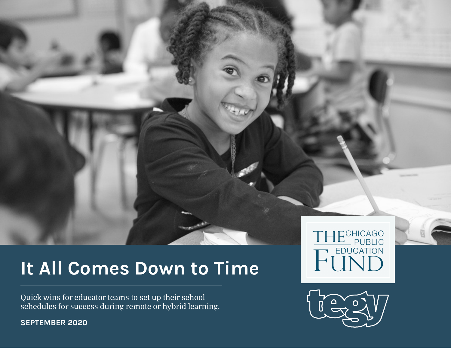## It All Comes Down to Time

Quick wins for educator teams to set up their school schedules for success during remote or hybrid learning.



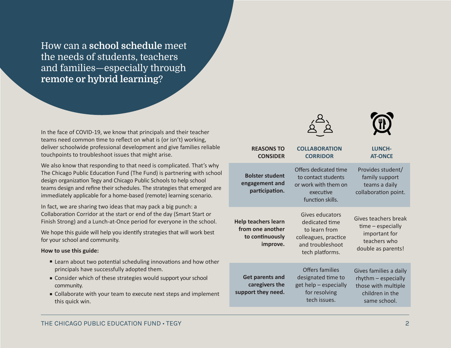How can a **school schedule** meet the needs of students, teachers and families—especially through **remote or hybrid learning**?

In the face of COVID-19, we know that principals and their teacher teams need common time to reflect on what is (or isn't) working, deliver schoolwide professional development and give families reliable touchpoints to troubleshoot issues that might arise.

We also know that responding to that need is complicated. That's why The Chicago Public Education Fund (The Fund) is partnering with school design organization Tegy and Chicago Public Schools to help school teams design and refine their schedules. The strategies that emerged are immediately applicable for a home-based (remote) learning scenario.

In fact, we are sharing two ideas that may pack a big punch: a Collaboration Corridor at the start or end of the day (Smart Start or Finish Strong) and a Lunch-at-Once period for everyone in the school.

We hope this guide will help you identify strategies that will work best for your school and community.

### **How to use this guide:**

- Learn about two potential scheduling innovations and how other principals have successfully adopted them.
- Consider which of these strategies would support your school community.
- Collaborate with your team to execute next steps and implement this quick win.

| <b>REASONS TO</b><br><b>CONSIDER</b>                                          | <b>COLLABORATION</b><br><b>CORRIDOR</b>                                                                           | <b>LUNCH-</b><br><b>AT-ONCE</b>                                                                         |
|-------------------------------------------------------------------------------|-------------------------------------------------------------------------------------------------------------------|---------------------------------------------------------------------------------------------------------|
| <b>Bolster student</b><br>engagement and<br>participation.                    | Offers dedicated time<br>to contact students<br>or work with them on<br>executive<br>function skills.             | Provides student/<br>family support<br>teams a daily<br>collaboration point.                            |
| <b>Help teachers learn</b><br>from one another<br>to continuously<br>improve. | Gives educators<br>dedicated time<br>to learn from<br>colleagues, practice<br>and troubleshoot<br>tech platforms. | Gives teachers break<br>time - especially<br>important for<br>teachers who<br>double as parents!        |
| <b>Get parents and</b><br>caregivers the<br>support they need.                | <b>Offers families</b><br>designated time to<br>get help - especially<br>for resolving<br>tech issues.            | Gives families a daily<br>rhythm - especially<br>those with multiple<br>children in the<br>same school. |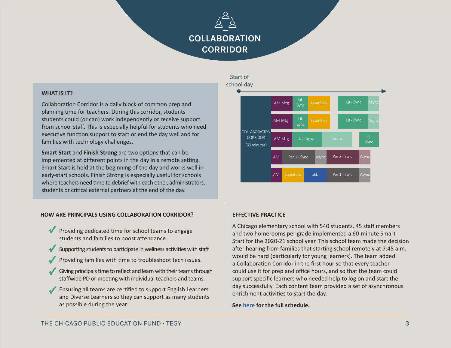## COLLABORATION CORRIDOR

### **WHAT IS IT?**

Collaboration Corridor is a daily block of common prep and planning time for teachers. During this corridor, students students could (or can) work independently or receive support from school staff. This is especially helpful for students who need executive function support to start or end the day well and for families with technology challenges.

**Smart Start** and **Finish Strong** are two options that can be implemented at different points in the day in a remote setting. Smart Start is held at the beginning of the day and works well in early-start schools. Finish Strong is especially useful for schools where teachers need time to debrief with each other, administrators, students or critical external partners at the end of the day.

### **HOW ARE PRINCIPALS USING COLLABORATION CORRIDOR?**

- ◆ Providing dedicated time for school teams to engage students and families to boost attendance.
- Supporting students to participate in wellness activities with staff. ✓
- Providing families with time to troubleshoot tech issues. ✓
- Giving principals time to reflect and learn with their teams through staffwide PD or meeting with individual teachers and teams.
- Ensuring all teams are certified to support English Learners and Diverse Learners so they can support as many students as possible during the year. ✓

### Start of



### **EFFECTIVE PRACTICE**

A Chicago elementary school with 540 students, 45 staff members and two homerooms per grade implemented a 60-minute Smart Start for the 2020-21 school year. This school team made the decision after hearing from families that starting school remotely at 7:45 a.m. would be hard (particularly for young learners). The team added a Collaboration Corridor in the first hour so that every teacher could use it for prep and office hours, and so that the team could support specific learners who needed help to log on and start the day successfully. Each content team provided a set of asynchronous enrichment activities to start the day.

**See [here](https://drive.google.com/file/d/1bBP2YXDAbcYUba9Pf8oLuMoBzjyd_j3G/view) for the full schedule.**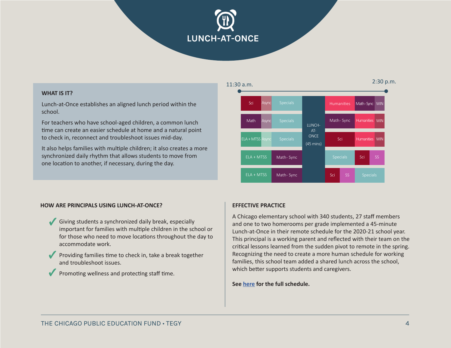# LUNCH-AT-ONCE

### **WHAT IS IT?**

Lunch-at-Once establishes an aligned lunch period within the school.

For teachers who have school-aged children, a common lunch time can create an easier schedule at home and a natural point to check in, reconnect and troubleshoot issues mid-day.

It also helps families with multiple children; it also creates a more synchronized daily rhythm that allows students to move from one location to another, if necessary, during the day.



### **HOW ARE PRINCIPALS USING LUNCH-AT-ONCE?**

- Giving students a synchronized daily break, especially ✓ important for families with multiple children in the school or for those who need to move locations throughout the day to accommodate work.
- ◆ Providing families time to check in, take a break together and troubleshoot issues.
- ◆ Promoting wellness and protecting staff time.

### **EFFECTIVE PRACTICE**

A Chicago elementary school with 340 students, 27 staff members and one to two homerooms per grade implemented a 45-minute Lunch-at-Once in their remote schedule for the 2020-21 school year. This principal is a working parent and reflected with their team on the critical lessons learned from the sudden pivot to remote in the spring. Recognizing the need to create a more human schedule for working families, this school team added a shared lunch across the school, which better supports students and caregivers.

**See [here](https://drive.google.com/file/d/1yuQ1--P2522sQIaN54z0noyhoCEntqqL/view?usp=sharing) for the full schedule.**